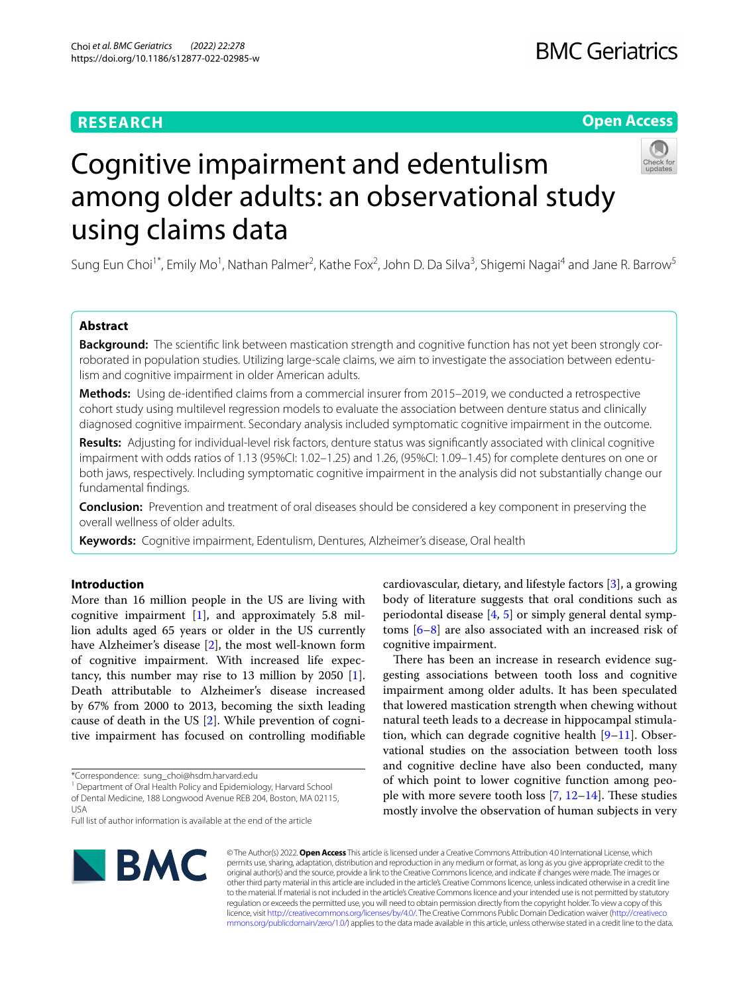## **RESEARCH**

## **BMC Geriatrics**

## **Open Access**



# Cognitive impairment and edentulism among older adults: an observational study using claims data

Sung Eun Choi<sup>1\*</sup>, Emily Mo<sup>1</sup>, Nathan Palmer<sup>2</sup>, Kathe Fox<sup>2</sup>, John D. Da Silva<sup>3</sup>, Shigemi Nagai<sup>4</sup> and Jane R. Barrow<sup>5</sup>

## **Abstract**

**Background:** The scientific link between mastication strength and cognitive function has not vet been strongly corroborated in population studies. Utilizing large-scale claims, we aim to investigate the association between edentulism and cognitive impairment in older American adults.

**Methods:** Using de-identifed claims from a commercial insurer from 2015–2019, we conducted a retrospective cohort study using multilevel regression models to evaluate the association between denture status and clinically diagnosed cognitive impairment. Secondary analysis included symptomatic cognitive impairment in the outcome.

**Results:** Adjusting for individual-level risk factors, denture status was signifcantly associated with clinical cognitive impairment with odds ratios of 1.13 (95%CI: 1.02–1.25) and 1.26, (95%CI: 1.09–1.45) for complete dentures on one or both jaws, respectively. Including symptomatic cognitive impairment in the analysis did not substantially change our fundamental fndings.

**Conclusion:** Prevention and treatment of oral diseases should be considered a key component in preserving the overall wellness of older adults.

**Keywords:** Cognitive impairment, Edentulism, Dentures, Alzheimer's disease, Oral health

## **Introduction**

More than 16 million people in the US are living with cognitive impairment  $[1]$  $[1]$ , and approximately 5.8 million adults aged 65 years or older in the US currently have Alzheimer's disease [[2\]](#page-6-1), the most well-known form of cognitive impairment. With increased life expectancy, this number may rise to 13 million by 2050 [\[1](#page-6-0)]. Death attributable to Alzheimer's disease increased by 67% from 2000 to 2013, becoming the sixth leading cause of death in the US [[2\]](#page-6-1). While prevention of cognitive impairment has focused on controlling modifable

<sup>1</sup> Department of Oral Health Policy and Epidemiology, Harvard School of Dental Medicine, 188 Longwood Avenue REB 204, Boston, MA 02115, USA

Full list of author information is available at the end of the article



cardiovascular, dietary, and lifestyle factors [[3](#page-6-2)], a growing body of literature suggests that oral conditions such as periodontal disease [\[4](#page-6-3), [5](#page-6-4)] or simply general dental symptoms [[6](#page-6-5)[–8](#page-6-6)] are also associated with an increased risk of cognitive impairment.

There has been an increase in research evidence suggesting associations between tooth loss and cognitive impairment among older adults. It has been speculated that lowered mastication strength when chewing without natural teeth leads to a decrease in hippocampal stimulation, which can degrade cognitive health  $[9-11]$  $[9-11]$ . Observational studies on the association between tooth loss and cognitive decline have also been conducted, many of which point to lower cognitive function among people with more severe tooth loss  $[7, 12-14]$  $[7, 12-14]$  $[7, 12-14]$  $[7, 12-14]$  $[7, 12-14]$ . These studies mostly involve the observation of human subjects in very

© The Author(s) 2022. **Open Access** This article is licensed under a Creative Commons Attribution 4.0 International License, which permits use, sharing, adaptation, distribution and reproduction in any medium or format, as long as you give appropriate credit to the original author(s) and the source, provide a link to the Creative Commons licence, and indicate if changes were made. The images or other third party material in this article are included in the article's Creative Commons licence, unless indicated otherwise in a credit line to the material. If material is not included in the article's Creative Commons licence and your intended use is not permitted by statutory regulation or exceeds the permitted use, you will need to obtain permission directly from the copyright holder. To view a copy of this licence, visit [http://creativecommons.org/licenses/by/4.0/.](http://creativecommons.org/licenses/by/4.0/) The Creative Commons Public Domain Dedication waiver ([http://creativeco](http://creativecommons.org/publicdomain/zero/1.0/) [mmons.org/publicdomain/zero/1.0/](http://creativecommons.org/publicdomain/zero/1.0/)) applies to the data made available in this article, unless otherwise stated in a credit line to the data.

<sup>\*</sup>Correspondence: sung\_choi@hsdm.harvard.edu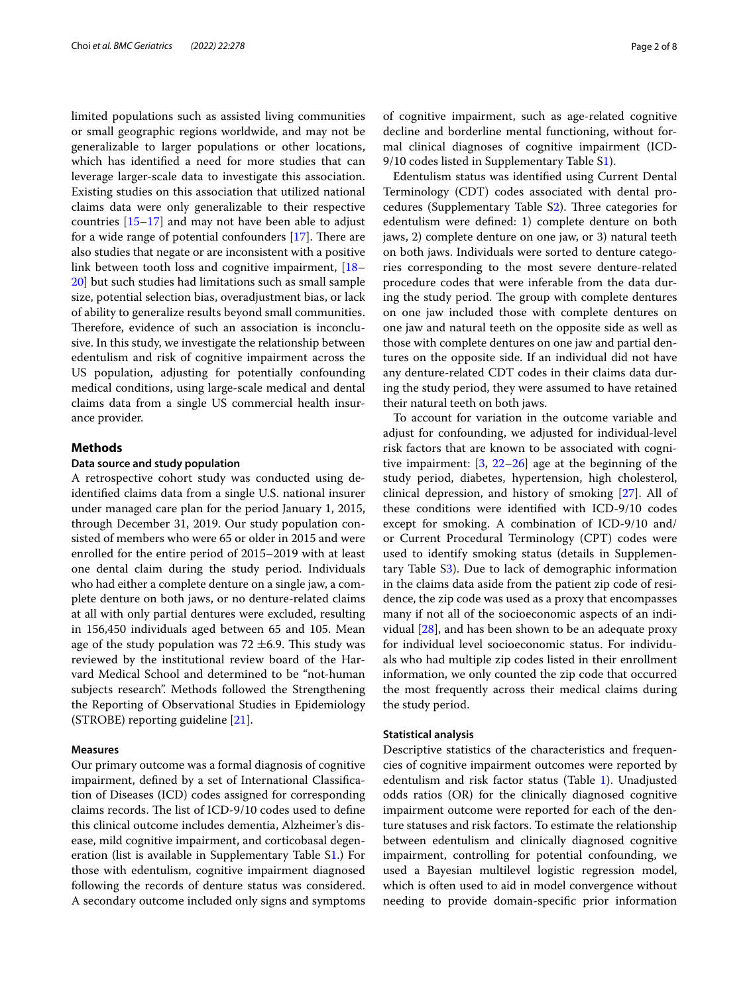limited populations such as assisted living communities or small geographic regions worldwide, and may not be generalizable to larger populations or other locations, which has identifed a need for more studies that can leverage larger-scale data to investigate this association. Existing studies on this association that utilized national claims data were only generalizable to their respective countries  $[15-17]$  $[15-17]$  and may not have been able to adjust for a wide range of potential confounders  $[17]$  $[17]$  $[17]$ . There are also studies that negate or are inconsistent with a positive link between tooth loss and cognitive impairment, [[18–](#page-6-14) [20\]](#page-6-15) but such studies had limitations such as small sample size, potential selection bias, overadjustment bias, or lack of ability to generalize results beyond small communities. Therefore, evidence of such an association is inconclusive. In this study, we investigate the relationship between edentulism and risk of cognitive impairment across the US population, adjusting for potentially confounding medical conditions, using large-scale medical and dental claims data from a single US commercial health insurance provider.

## **Methods**

## **Data source and study population**

A retrospective cohort study was conducted using deidentifed claims data from a single U.S. national insurer under managed care plan for the period January 1, 2015, through December 31, 2019. Our study population consisted of members who were 65 or older in 2015 and were enrolled for the entire period of 2015–2019 with at least one dental claim during the study period. Individuals who had either a complete denture on a single jaw, a complete denture on both jaws, or no denture-related claims at all with only partial dentures were excluded, resulting in 156,450 individuals aged between 65 and 105. Mean age of the study population was  $72 \pm 6.9$ . This study was reviewed by the institutional review board of the Harvard Medical School and determined to be "not-human subjects research". Methods followed the Strengthening the Reporting of Observational Studies in Epidemiology (STROBE) reporting guideline [\[21\]](#page-6-16).

## **Measures**

Our primary outcome was a formal diagnosis of cognitive impairment, defned by a set of International Classifcation of Diseases (ICD) codes assigned for corresponding claims records. The list of ICD-9/10 codes used to define this clinical outcome includes dementia, Alzheimer's disease, mild cognitive impairment, and corticobasal degeneration (list is available in Supplementary Table [S1](#page-6-17).) For those with edentulism, cognitive impairment diagnosed following the records of denture status was considered. A secondary outcome included only signs and symptoms of cognitive impairment, such as age-related cognitive decline and borderline mental functioning, without formal clinical diagnoses of cognitive impairment (ICD-9/10 codes listed in Supplementary Table S[1\)](#page-6-17).

Edentulism status was identifed using Current Dental Terminology (CDT) codes associated with dental procedures (Supplementary Table  $S_2$ ). Three categories for edentulism were defned: 1) complete denture on both jaws, 2) complete denture on one jaw, or 3) natural teeth on both jaws. Individuals were sorted to denture categories corresponding to the most severe denture-related procedure codes that were inferable from the data during the study period. The group with complete dentures on one jaw included those with complete dentures on one jaw and natural teeth on the opposite side as well as those with complete dentures on one jaw and partial dentures on the opposite side. If an individual did not have any denture-related CDT codes in their claims data during the study period, they were assumed to have retained their natural teeth on both jaws.

To account for variation in the outcome variable and adjust for confounding, we adjusted for individual-level risk factors that are known to be associated with cognitive impairment: [[3,](#page-6-2) [22–](#page-6-18)[26](#page-7-0)] age at the beginning of the study period, diabetes, hypertension, high cholesterol, clinical depression, and history of smoking [[27\]](#page-7-1). All of these conditions were identifed with ICD-9/10 codes except for smoking. A combination of ICD-9/10 and/ or Current Procedural Terminology (CPT) codes were used to identify smoking status (details in Supplementary Table [S3\)](#page-6-17). Due to lack of demographic information in the claims data aside from the patient zip code of residence, the zip code was used as a proxy that encompasses many if not all of the socioeconomic aspects of an individual [[28](#page-7-2)], and has been shown to be an adequate proxy for individual level socioeconomic status. For individuals who had multiple zip codes listed in their enrollment information, we only counted the zip code that occurred the most frequently across their medical claims during the study period.

#### **Statistical analysis**

Descriptive statistics of the characteristics and frequencies of cognitive impairment outcomes were reported by edentulism and risk factor status (Table [1](#page-2-0)). Unadjusted odds ratios (OR) for the clinically diagnosed cognitive impairment outcome were reported for each of the denture statuses and risk factors. To estimate the relationship between edentulism and clinically diagnosed cognitive impairment, controlling for potential confounding, we used a Bayesian multilevel logistic regression model, which is often used to aid in model convergence without needing to provide domain-specifc prior information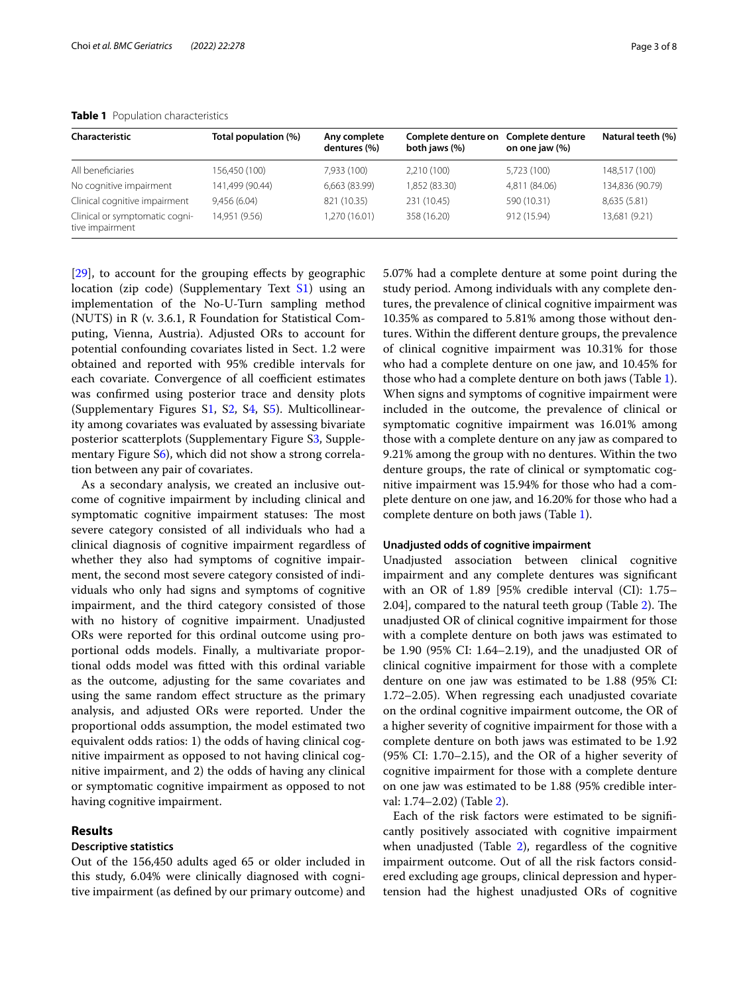| Characteristic                                    | Total population (%) | Any complete<br>dentures (%) | Complete denture on<br>both jaws (%) | Complete denture<br>on one jaw (%) | Natural teeth (%) |
|---------------------------------------------------|----------------------|------------------------------|--------------------------------------|------------------------------------|-------------------|
| All beneficiaries                                 | 156,450 (100)        | 7.933 (100)                  | 2,210 (100)                          | 5.723 (100)                        | 148.517 (100)     |
| No cognitive impairment                           | 141,499 (90.44)      | 6,663 (83.99)                | 1,852 (83.30)                        | 4,811 (84.06)                      | 134,836 (90.79)   |
| Clinical cognitive impairment                     | 9,456(6.04)          | 821 (10.35)                  | 231 (10.45)                          | 590 (10.31)                        | 8,635 (5.81)      |
| Clinical or symptomatic cogni-<br>tive impairment | 14.951 (9.56)        | 1.270 (16.01)                | 358 (16.20)                          | 912 (15.94)                        | 13,681 (9.21)     |

#### <span id="page-2-0"></span>**Table 1** Population characteristics

[[29\]](#page-7-3), to account for the grouping effects by geographic location (zip code) (Supplementary Text [S1\)](#page-6-17) using an implementation of the No-U-Turn sampling method (NUTS) in R (v. 3.6.1, R Foundation for Statistical Computing, Vienna, Austria). Adjusted ORs to account for potential confounding covariates listed in Sect. 1.2 were obtained and reported with 95% credible intervals for each covariate. Convergence of all coefficient estimates was confrmed using posterior trace and density plots (Supplementary Figures [S1](#page-6-17), S[2,](#page-6-17) [S4,](#page-6-17) [S5](#page-6-17)). Multicollinearity among covariates was evaluated by assessing bivariate posterior scatterplots (Supplementary Figure [S3](#page-6-17), Supplementary Figure [S6\)](#page-6-17), which did not show a strong correlation between any pair of covariates.

As a secondary analysis, we created an inclusive outcome of cognitive impairment by including clinical and symptomatic cognitive impairment statuses: The most severe category consisted of all individuals who had a clinical diagnosis of cognitive impairment regardless of whether they also had symptoms of cognitive impairment, the second most severe category consisted of individuals who only had signs and symptoms of cognitive impairment, and the third category consisted of those with no history of cognitive impairment. Unadjusted ORs were reported for this ordinal outcome using proportional odds models. Finally, a multivariate proportional odds model was ftted with this ordinal variable as the outcome, adjusting for the same covariates and using the same random efect structure as the primary analysis, and adjusted ORs were reported. Under the proportional odds assumption, the model estimated two equivalent odds ratios: 1) the odds of having clinical cognitive impairment as opposed to not having clinical cognitive impairment, and 2) the odds of having any clinical or symptomatic cognitive impairment as opposed to not having cognitive impairment.

## **Results**

## **Descriptive statistics**

Out of the 156,450 adults aged 65 or older included in this study, 6.04% were clinically diagnosed with cognitive impairment (as defned by our primary outcome) and 5.07% had a complete denture at some point during the study period. Among individuals with any complete dentures, the prevalence of clinical cognitive impairment was 10.35% as compared to 5.81% among those without dentures. Within the diferent denture groups, the prevalence of clinical cognitive impairment was 10.31% for those who had a complete denture on one jaw, and 10.45% for those who had a complete denture on both jaws (Table [1](#page-2-0)). When signs and symptoms of cognitive impairment were included in the outcome, the prevalence of clinical or symptomatic cognitive impairment was 16.01% among those with a complete denture on any jaw as compared to 9.21% among the group with no dentures. Within the two denture groups, the rate of clinical or symptomatic cognitive impairment was 15.94% for those who had a complete denture on one jaw, and 16.20% for those who had a complete denture on both jaws (Table [1\)](#page-2-0).

#### **Unadjusted odds of cognitive impairment**

Unadjusted association between clinical cognitive impairment and any complete dentures was signifcant with an OR of 1.89 [95% credible interval (CI): 1.75– [2](#page-3-0).04], compared to the natural teeth group (Table 2). The unadjusted OR of clinical cognitive impairment for those with a complete denture on both jaws was estimated to be 1.90 (95% CI: 1.64–2.19), and the unadjusted OR of clinical cognitive impairment for those with a complete denture on one jaw was estimated to be 1.88 (95% CI: 1.72–2.05). When regressing each unadjusted covariate on the ordinal cognitive impairment outcome, the OR of a higher severity of cognitive impairment for those with a complete denture on both jaws was estimated to be 1.92 (95% CI: 1.70–2.15), and the OR of a higher severity of cognitive impairment for those with a complete denture on one jaw was estimated to be 1.88 (95% credible interval: 1.74–2.02) (Table [2](#page-3-0)).

Each of the risk factors were estimated to be signifcantly positively associated with cognitive impairment when unadjusted (Table [2\)](#page-3-0), regardless of the cognitive impairment outcome. Out of all the risk factors considered excluding age groups, clinical depression and hypertension had the highest unadjusted ORs of cognitive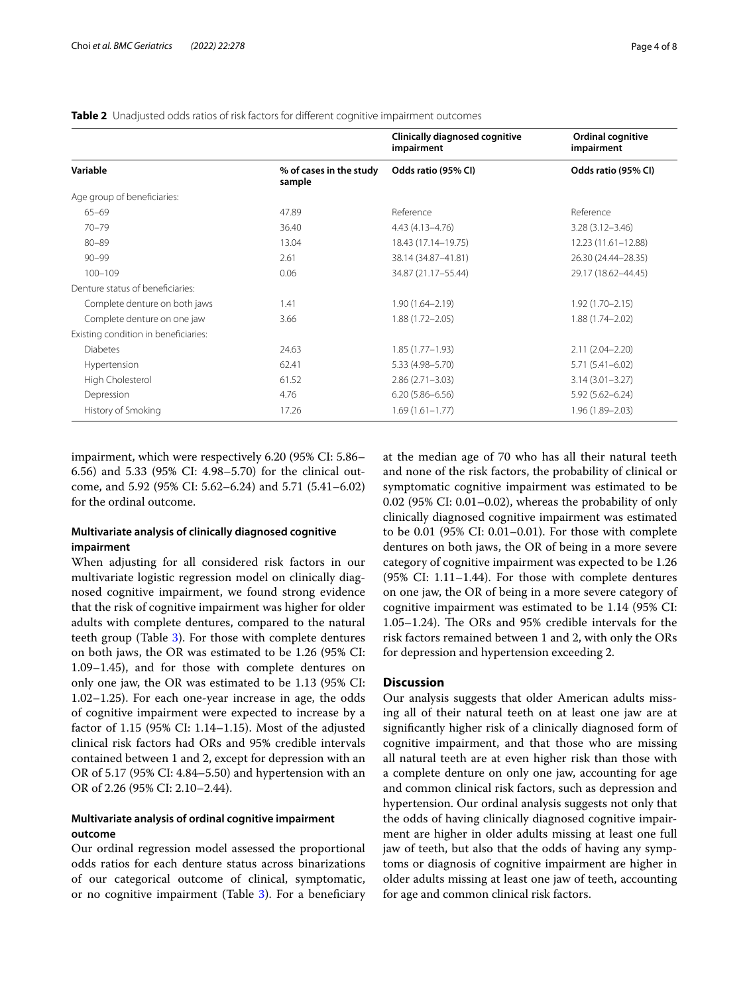#### <span id="page-3-0"></span>**Table 2** Unadjusted odds ratios of risk factors for diferent cognitive impairment outcomes

|                                      |                                   | Clinically diagnosed cognitive<br>impairment | Ordinal cognitive<br>impairment |
|--------------------------------------|-----------------------------------|----------------------------------------------|---------------------------------|
| Variable                             | % of cases in the study<br>sample | Odds ratio (95% CI)                          | Odds ratio (95% CI)             |
| Age group of beneficiaries:          |                                   |                                              |                                 |
| $65 - 69$                            | 47.89                             | Reference                                    | Reference                       |
| $70 - 79$                            | 36.40                             | $4.43(4.13 - 4.76)$                          | $3.28(3.12 - 3.46)$             |
| $80 - 89$                            | 13.04                             | 18.43 (17.14-19.75)                          | 12.23 (11.61-12.88)             |
| $90 - 99$                            | 2.61                              | 38.14 (34.87-41.81)                          | 26.30 (24.44-28.35)             |
| $100 - 109$                          | 0.06                              | 34.87 (21.17-55.44)                          | 29.17 (18.62-44.45)             |
| Denture status of beneficiaries:     |                                   |                                              |                                 |
| Complete denture on both jaws        | 1.41                              | $1.90(1.64 - 2.19)$                          | $1.92(1.70 - 2.15)$             |
| Complete denture on one jaw          | 3.66                              | $1.88(1.72 - 2.05)$                          | $1.88(1.74 - 2.02)$             |
| Existing condition in beneficiaries: |                                   |                                              |                                 |
| <b>Diabetes</b>                      | 24.63                             | $1.85(1.77 - 1.93)$                          | $2.11(2.04 - 2.20)$             |
| Hypertension                         | 62.41                             | 5.33 (4.98 - 5.70)                           | $5.71(5.41 - 6.02)$             |
| High Cholesterol                     | 61.52                             | $2.86(2.71 - 3.03)$                          | $3.14(3.01 - 3.27)$             |
| Depression                           | 4.76                              | $6.20(5.86 - 6.56)$                          | $5.92(5.62 - 6.24)$             |
| History of Smoking                   | 17.26                             | $1.69(1.61 - 1.77)$                          | $1.96(1.89 - 2.03)$             |

impairment, which were respectively 6.20 (95% CI: 5.86– 6.56) and 5.33 (95% CI: 4.98–5.70) for the clinical outcome, and 5.92 (95% CI: 5.62–6.24) and 5.71 (5.41–6.02) for the ordinal outcome.

## **Multivariate analysis of clinically diagnosed cognitive impairment**

When adjusting for all considered risk factors in our multivariate logistic regression model on clinically diagnosed cognitive impairment, we found strong evidence that the risk of cognitive impairment was higher for older adults with complete dentures, compared to the natural teeth group (Table [3\)](#page-4-0). For those with complete dentures on both jaws, the OR was estimated to be 1.26 (95% CI: 1.09–1.45), and for those with complete dentures on only one jaw, the OR was estimated to be 1.13 (95% CI: 1.02–1.25). For each one-year increase in age, the odds of cognitive impairment were expected to increase by a factor of 1.15 (95% CI: 1.14–1.15). Most of the adjusted clinical risk factors had ORs and 95% credible intervals contained between 1 and 2, except for depression with an OR of 5.17 (95% CI: 4.84–5.50) and hypertension with an OR of 2.26 (95% CI: 2.10–2.44).

## **Multivariate analysis of ordinal cognitive impairment outcome**

Our ordinal regression model assessed the proportional odds ratios for each denture status across binarizations of our categorical outcome of clinical, symptomatic, or no cognitive impairment (Table [3\)](#page-4-0). For a beneficiary

at the median age of 70 who has all their natural teeth and none of the risk factors, the probability of clinical or symptomatic cognitive impairment was estimated to be 0.02 (95% CI: 0.01–0.02), whereas the probability of only clinically diagnosed cognitive impairment was estimated to be 0.01 (95% CI: 0.01–0.01). For those with complete dentures on both jaws, the OR of being in a more severe category of cognitive impairment was expected to be 1.26 (95% CI: 1.11–1.44). For those with complete dentures on one jaw, the OR of being in a more severe category of cognitive impairment was estimated to be 1.14 (95% CI: 1.05–1.24). The ORs and  $95\%$  credible intervals for the risk factors remained between 1 and 2, with only the ORs for depression and hypertension exceeding 2.

## **Discussion**

Our analysis suggests that older American adults missing all of their natural teeth on at least one jaw are at signifcantly higher risk of a clinically diagnosed form of cognitive impairment, and that those who are missing all natural teeth are at even higher risk than those with a complete denture on only one jaw, accounting for age and common clinical risk factors, such as depression and hypertension. Our ordinal analysis suggests not only that the odds of having clinically diagnosed cognitive impairment are higher in older adults missing at least one full jaw of teeth, but also that the odds of having any symptoms or diagnosis of cognitive impairment are higher in older adults missing at least one jaw of teeth, accounting for age and common clinical risk factors.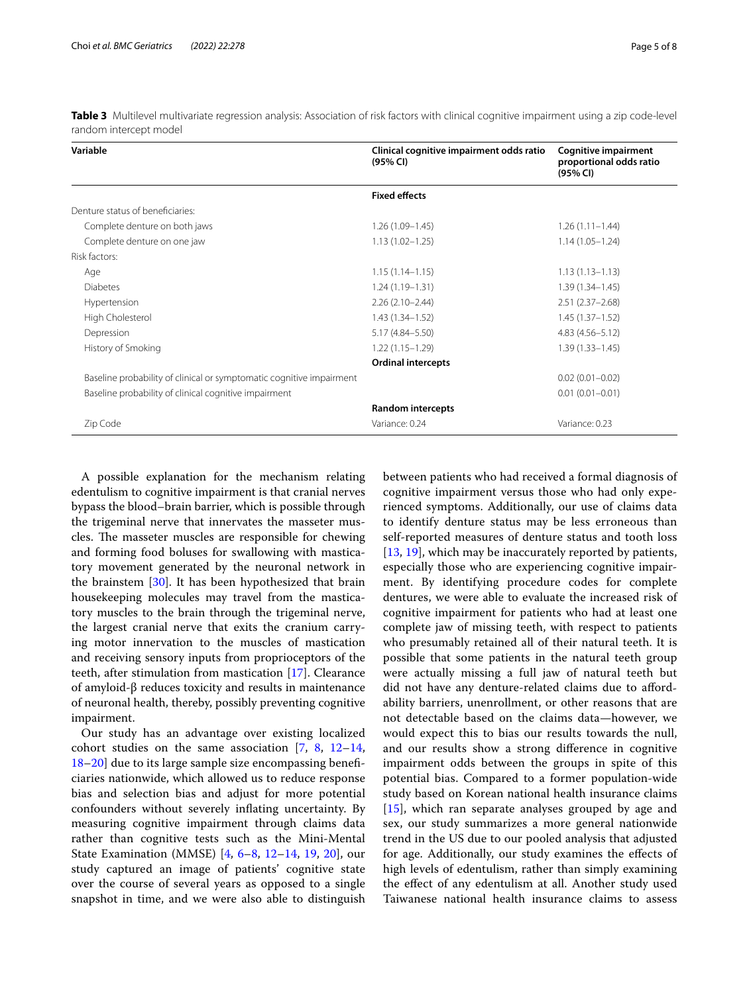| Variable                                                             | Clinical cognitive impairment odds ratio<br>(95% CI) | <b>Cognitive impairment</b><br>proportional odds ratio<br>(95% CI) |
|----------------------------------------------------------------------|------------------------------------------------------|--------------------------------------------------------------------|
|                                                                      | <b>Fixed effects</b>                                 |                                                                    |
| Denture status of beneficiaries:                                     |                                                      |                                                                    |
| Complete denture on both jaws                                        | $1.26(1.09 - 1.45)$                                  | $1.26(1.11 - 1.44)$                                                |
| Complete denture on one jaw                                          | $1.13(1.02 - 1.25)$                                  | $1.14(1.05 - 1.24)$                                                |
| Risk factors:                                                        |                                                      |                                                                    |
| Age                                                                  | $1.15(1.14 - 1.15)$                                  | $1.13(1.13 - 1.13)$                                                |
| <b>Diabetes</b>                                                      | $1.24(1.19 - 1.31)$                                  | $1.39(1.34 - 1.45)$                                                |
| Hypertension                                                         | $2.26(2.10-2.44)$                                    | $2.51(2.37 - 2.68)$                                                |
| High Cholesterol                                                     | $1.43(1.34 - 1.52)$                                  | $1.45(1.37-1.52)$                                                  |
| Depression                                                           | 5.17 (4.84 - 5.50)                                   | $4.83(4.56 - 5.12)$                                                |
| History of Smoking                                                   | $1.22(1.15 - 1.29)$                                  | $1.39(1.33 - 1.45)$                                                |
|                                                                      | <b>Ordinal intercepts</b>                            |                                                                    |
| Baseline probability of clinical or symptomatic cognitive impairment |                                                      | $0.02(0.01 - 0.02)$                                                |
| Baseline probability of clinical cognitive impairment                |                                                      | $0.01(0.01 - 0.01)$                                                |
|                                                                      | <b>Random intercepts</b>                             |                                                                    |
| Zip Code                                                             | Variance: 0.24                                       | Variance: 0.23                                                     |

<span id="page-4-0"></span>**Table 3** Multilevel multivariate regression analysis: Association of risk factors with clinical cognitive impairment using a zip code-level random intercept model

A possible explanation for the mechanism relating edentulism to cognitive impairment is that cranial nerves bypass the blood–brain barrier, which is possible through the trigeminal nerve that innervates the masseter muscles. The masseter muscles are responsible for chewing and forming food boluses for swallowing with masticatory movement generated by the neuronal network in the brainstem [\[30](#page-7-4)]. It has been hypothesized that brain housekeeping molecules may travel from the masticatory muscles to the brain through the trigeminal nerve, the largest cranial nerve that exits the cranium carrying motor innervation to the muscles of mastication and receiving sensory inputs from proprioceptors of the teeth, after stimulation from mastication [\[17](#page-6-13)]. Clearance of amyloid-β reduces toxicity and results in maintenance of neuronal health, thereby, possibly preventing cognitive impairment.

Our study has an advantage over existing localized cohort studies on the same association [[7,](#page-6-9) [8](#page-6-6), [12](#page-6-10)[–14](#page-6-11), [18–](#page-6-14)[20\]](#page-6-15) due to its large sample size encompassing benefciaries nationwide, which allowed us to reduce response bias and selection bias and adjust for more potential confounders without severely infating uncertainty. By measuring cognitive impairment through claims data rather than cognitive tests such as the Mini-Mental State Examination (MMSE) [\[4](#page-6-3), [6](#page-6-5)–[8,](#page-6-6) [12](#page-6-10)[–14](#page-6-11), [19,](#page-6-19) [20](#page-6-15)], our study captured an image of patients' cognitive state over the course of several years as opposed to a single snapshot in time, and we were also able to distinguish between patients who had received a formal diagnosis of cognitive impairment versus those who had only experienced symptoms. Additionally, our use of claims data to identify denture status may be less erroneous than self-reported measures of denture status and tooth loss [[13,](#page-6-20) [19\]](#page-6-19), which may be inaccurately reported by patients, especially those who are experiencing cognitive impairment. By identifying procedure codes for complete dentures, we were able to evaluate the increased risk of cognitive impairment for patients who had at least one complete jaw of missing teeth, with respect to patients who presumably retained all of their natural teeth. It is possible that some patients in the natural teeth group were actually missing a full jaw of natural teeth but did not have any denture-related claims due to afordability barriers, unenrollment, or other reasons that are not detectable based on the claims data—however, we would expect this to bias our results towards the null, and our results show a strong diference in cognitive impairment odds between the groups in spite of this potential bias. Compared to a former population-wide study based on Korean national health insurance claims [[15\]](#page-6-12), which ran separate analyses grouped by age and sex, our study summarizes a more general nationwide trend in the US due to our pooled analysis that adjusted for age. Additionally, our study examines the efects of high levels of edentulism, rather than simply examining the efect of any edentulism at all. Another study used Taiwanese national health insurance claims to assess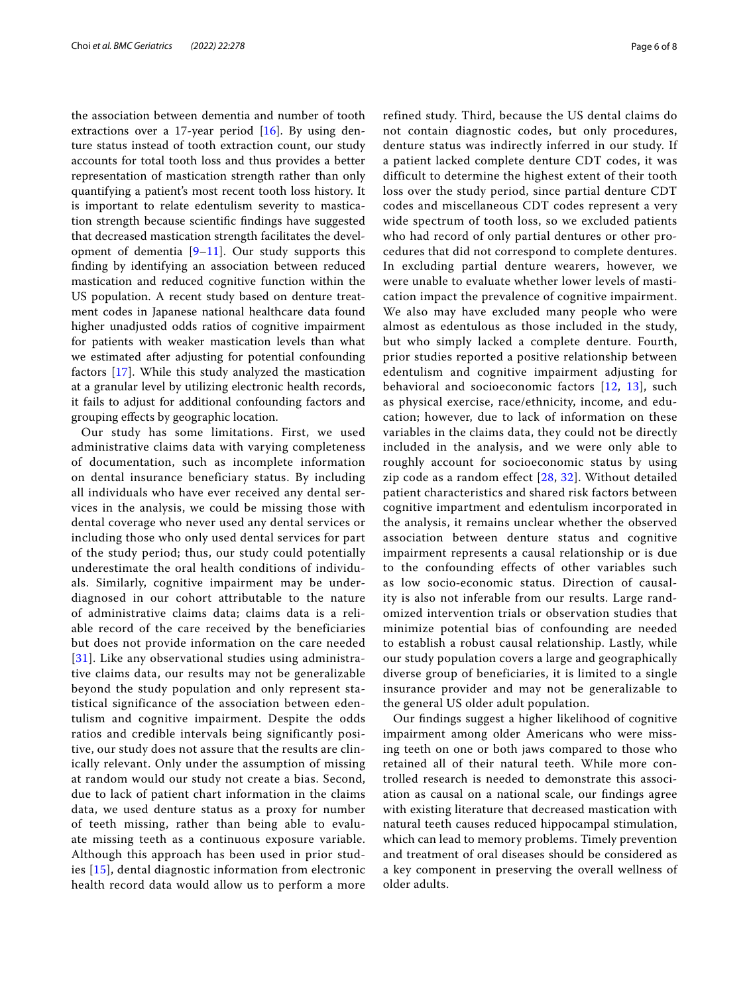the association between dementia and number of tooth extractions over a 17-year period [[16\]](#page-6-21). By using denture status instead of tooth extraction count, our study accounts for total tooth loss and thus provides a better representation of mastication strength rather than only quantifying a patient's most recent tooth loss history. It is important to relate edentulism severity to mastication strength because scientifc fndings have suggested that decreased mastication strength facilitates the development of dementia [\[9](#page-6-7)[–11](#page-6-8)]. Our study supports this fnding by identifying an association between reduced mastication and reduced cognitive function within the US population. A recent study based on denture treatment codes in Japanese national healthcare data found higher unadjusted odds ratios of cognitive impairment for patients with weaker mastication levels than what we estimated after adjusting for potential confounding factors [[17\]](#page-6-13). While this study analyzed the mastication at a granular level by utilizing electronic health records, it fails to adjust for additional confounding factors and grouping efects by geographic location.

Our study has some limitations. First, we used administrative claims data with varying completeness of documentation, such as incomplete information on dental insurance beneficiary status. By including all individuals who have ever received any dental services in the analysis, we could be missing those with dental coverage who never used any dental services or including those who only used dental services for part of the study period; thus, our study could potentially underestimate the oral health conditions of individuals. Similarly, cognitive impairment may be underdiagnosed in our cohort attributable to the nature of administrative claims data; claims data is a reliable record of the care received by the beneficiaries but does not provide information on the care needed [[31](#page-7-5)]. Like any observational studies using administrative claims data, our results may not be generalizable beyond the study population and only represent statistical significance of the association between edentulism and cognitive impairment. Despite the odds ratios and credible intervals being significantly positive, our study does not assure that the results are clinically relevant. Only under the assumption of missing at random would our study not create a bias. Second, due to lack of patient chart information in the claims data, we used denture status as a proxy for number of teeth missing, rather than being able to evaluate missing teeth as a continuous exposure variable. Although this approach has been used in prior studies [\[15\]](#page-6-12), dental diagnostic information from electronic health record data would allow us to perform a more refined study. Third, because the US dental claims do not contain diagnostic codes, but only procedures, denture status was indirectly inferred in our study. If a patient lacked complete denture CDT codes, it was difficult to determine the highest extent of their tooth loss over the study period, since partial denture CDT codes and miscellaneous CDT codes represent a very wide spectrum of tooth loss, so we excluded patients who had record of only partial dentures or other procedures that did not correspond to complete dentures. In excluding partial denture wearers, however, we were unable to evaluate whether lower levels of mastication impact the prevalence of cognitive impairment. We also may have excluded many people who were almost as edentulous as those included in the study, but who simply lacked a complete denture. Fourth, prior studies reported a positive relationship between edentulism and cognitive impairment adjusting for behavioral and socioeconomic factors [[12](#page-6-10), [13\]](#page-6-20), such as physical exercise, race/ethnicity, income, and education; however, due to lack of information on these variables in the claims data, they could not be directly included in the analysis, and we were only able to roughly account for socioeconomic status by using zip code as a random effect [\[28,](#page-7-2) [32](#page-7-6)]. Without detailed patient characteristics and shared risk factors between cognitive impartment and edentulism incorporated in the analysis, it remains unclear whether the observed association between denture status and cognitive impairment represents a causal relationship or is due to the confounding effects of other variables such as low socio‐economic status. Direction of causality is also not inferable from our results. Large randomized intervention trials or observation studies that minimize potential bias of confounding are needed to establish a robust causal relationship. Lastly, while our study population covers a large and geographically diverse group of beneficiaries, it is limited to a single insurance provider and may not be generalizable to the general US older adult population.

Our fndings suggest a higher likelihood of cognitive impairment among older Americans who were missing teeth on one or both jaws compared to those who retained all of their natural teeth. While more controlled research is needed to demonstrate this association as causal on a national scale, our fndings agree with existing literature that decreased mastication with natural teeth causes reduced hippocampal stimulation, which can lead to memory problems. Timely prevention and treatment of oral diseases should be considered as a key component in preserving the overall wellness of older adults.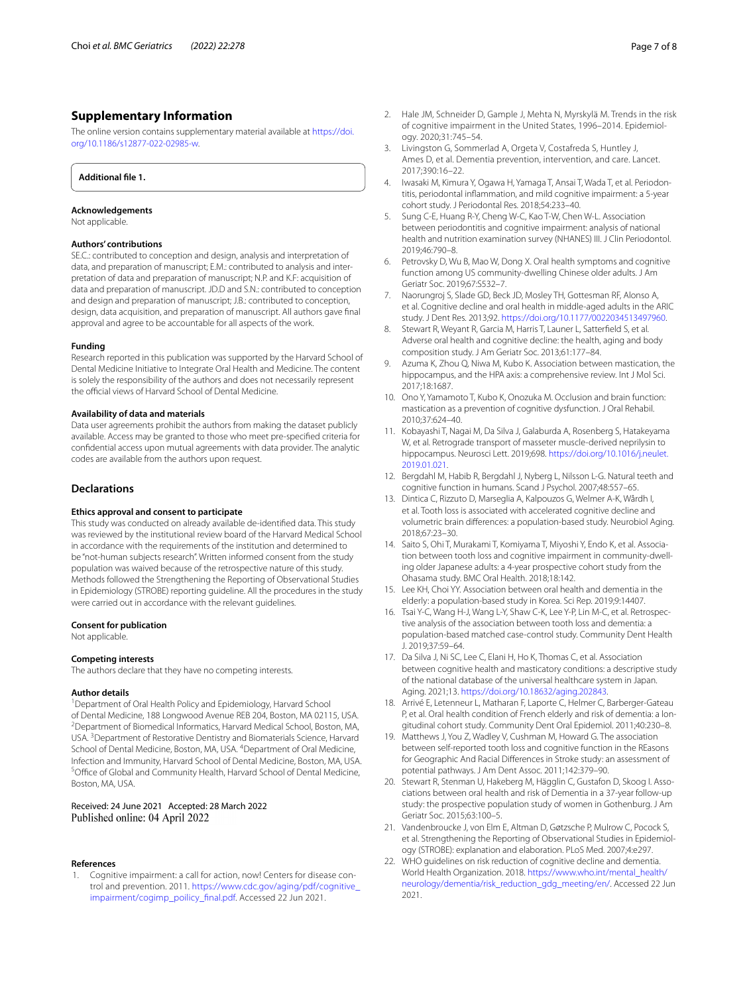## **Supplementary Information**

The online version contains supplementary material available at [https://doi.](https://doi.org/10.1186/s12877-022-02985-w) [org/10.1186/s12877-022-02985-w.](https://doi.org/10.1186/s12877-022-02985-w)

<span id="page-6-17"></span>**Additional fle 1.**

#### **Acknowledgements**

Not applicable.

## **Authors' contributions**

SE.C.: contributed to conception and design, analysis and interpretation of data, and preparation of manuscript; E.M.: contributed to analysis and interpretation of data and preparation of manuscript; N.P. and K.F: acquisition of data and preparation of manuscript. JD.D and S.N.: contributed to conception and design and preparation of manuscript; J.B.: contributed to conception, design, data acquisition, and preparation of manuscript. All authors gave fnal approval and agree to be accountable for all aspects of the work.

#### **Funding**

Research reported in this publication was supported by the Harvard School of Dental Medicine Initiative to Integrate Oral Health and Medicine. The content is solely the responsibility of the authors and does not necessarily represent the official views of Harvard School of Dental Medicine.

#### **Availability of data and materials**

Data user agreements prohibit the authors from making the dataset publicly available. Access may be granted to those who meet pre-specifed criteria for confdential access upon mutual agreements with data provider. The analytic codes are available from the authors upon request.

## **Declarations**

#### **Ethics approval and consent to participate**

This study was conducted on already available de-identifed data. This study was reviewed by the institutional review board of the Harvard Medical School in accordance with the requirements of the institution and determined to be "not-human subjects research". Written informed consent from the study population was waived because of the retrospective nature of this study. Methods followed the Strengthening the Reporting of Observational Studies in Epidemiology (STROBE) reporting guideline. All the procedures in the study were carried out in accordance with the relevant guidelines.

#### **Consent for publication**

Not applicable.

## **Competing interests**

The authors declare that they have no competing interests.

#### **Author details**

<sup>1</sup> Department of Oral Health Policy and Epidemiology, Harvard School of Dental Medicine, 188 Longwood Avenue REB 204, Boston, MA 02115, USA. 2 Department of Biomedical Informatics, Harvard Medical School, Boston, MA, USA.<sup>3</sup> Department of Restorative Dentistry and Biomaterials Science, Harvard School of Dental Medicine, Boston, MA, USA. <sup>4</sup>Department of Oral Medicine, Infection and Immunity, Harvard School of Dental Medicine, Boston, MA, USA. 5 <sup>5</sup>Office of Global and Community Health, Harvard School of Dental Medicine, Boston, MA, USA.

#### Received: 24 June 2021 Accepted: 28 March 2022 Published online: 04 April 2022

#### **References**

<span id="page-6-0"></span>1. Cognitive impairment: a call for action, now! Centers for disease control and prevention. 2011. [https://www.cdc.gov/aging/pdf/cognitive\\_](https://www.cdc.gov/aging/pdf/cognitive_impairment/cogimp_poilicy_final.pdf) [impairment/cogimp\\_poilicy\\_fnal.pdf](https://www.cdc.gov/aging/pdf/cognitive_impairment/cogimp_poilicy_final.pdf). Accessed 22 Jun 2021.

- <span id="page-6-1"></span>2. Hale JM, Schneider D, Gample J, Mehta N, Myrskylä M. Trends in the risk of cognitive impairment in the United States, 1996–2014. Epidemiology. 2020;31:745–54.
- <span id="page-6-2"></span>3. Livingston G, Sommerlad A, Orgeta V, Costafreda S, Huntley J, Ames D, et al. Dementia prevention, intervention, and care. Lancet. 2017;390:16–22.
- <span id="page-6-3"></span>4. Iwasaki M, Kimura Y, Ogawa H, Yamaga T, Ansai T, Wada T, et al. Periodontitis, periodontal infammation, and mild cognitive impairment: a 5-year cohort study. J Periodontal Res. 2018;54:233–40.
- <span id="page-6-4"></span>5. Sung C-E, Huang R-Y, Cheng W-C, Kao T-W, Chen W-L. Association between periodontitis and cognitive impairment: analysis of national health and nutrition examination survey (NHANES) III. J Clin Periodontol. 2019;46:790–8.
- <span id="page-6-5"></span>6. Petrovsky D, Wu B, Mao W, Dong X. Oral health symptoms and cognitive function among US community-dwelling Chinese older adults. J Am Geriatr Soc. 2019;67:S532–7.
- <span id="page-6-9"></span>7. Naorungroj S, Slade GD, Beck JD, Mosley TH, Gottesman RF, Alonso A, et al. Cognitive decline and oral health in middle-aged adults in the ARIC study. J Dent Res. 2013;92. <https://doi.org/10.1177/0022034513497960>.
- <span id="page-6-6"></span>8. Stewart R, Weyant R, Garcia M, Harris T, Launer L, Satterfeld S, et al. Adverse oral health and cognitive decline: the health, aging and body composition study. J Am Geriatr Soc. 2013;61:177–84.
- <span id="page-6-7"></span>9. Azuma K, Zhou Q, Niwa M, Kubo K. Association between mastication, the hippocampus, and the HPA axis: a comprehensive review. Int J Mol Sci. 2017;18:1687.
- 10. Ono Y, Yamamoto T, Kubo K, Onozuka M. Occlusion and brain function: mastication as a prevention of cognitive dysfunction. J Oral Rehabil. 2010;37:624–40.
- <span id="page-6-8"></span>11. Kobayashi T, Nagai M, Da Silva J, Galaburda A, Rosenberg S, Hatakeyama W, et al. Retrograde transport of masseter muscle-derived neprilysin to hippocampus. Neurosci Lett. 2019;698. [https://doi.org/10.1016/j.neulet.](https://doi.org/10.1016/j.neulet.2019.01.021) [2019.01.021](https://doi.org/10.1016/j.neulet.2019.01.021).
- <span id="page-6-10"></span>12. Bergdahl M, Habib R, Bergdahl J, Nyberg L, Nilsson L-G. Natural teeth and cognitive function in humans. Scand J Psychol. 2007;48:557–65.
- <span id="page-6-20"></span>13. Dintica C, Rizzuto D, Marseglia A, Kalpouzos G, Welmer A-K, Wårdh I, et al. Tooth loss is associated with accelerated cognitive decline and volumetric brain diferences: a population-based study. Neurobiol Aging. 2018;67:23–30.
- <span id="page-6-11"></span>14. Saito S, Ohi T, Murakami T, Komiyama T, Miyoshi Y, Endo K, et al. Association between tooth loss and cognitive impairment in community-dwelling older Japanese adults: a 4-year prospective cohort study from the Ohasama study. BMC Oral Health. 2018;18:142.
- <span id="page-6-12"></span>15. Lee KH, Choi YY. Association between oral health and dementia in the elderly: a population-based study in Korea. Sci Rep. 2019;9:14407.
- <span id="page-6-21"></span>16. Tsai Y-C, Wang H-J, Wang L-Y, Shaw C-K, Lee Y-P, Lin M-C, et al. Retrospective analysis of the association between tooth loss and dementia: a population-based matched case-control study. Community Dent Health J. 2019;37:59–64.
- <span id="page-6-13"></span>17. Da Silva J, Ni SC, Lee C, Elani H, Ho K, Thomas C, et al. Association between cognitive health and masticatory conditions: a descriptive study of the national database of the universal healthcare system in Japan. Aging. 2021;13. [https://doi.org/10.18632/aging.202843.](https://doi.org/10.18632/aging.202843)
- <span id="page-6-14"></span>18. Arrivé E, Letenneur L, Matharan F, Laporte C, Helmer C, Barberger-Gateau P, et al. Oral health condition of French elderly and risk of dementia: a longitudinal cohort study. Community Dent Oral Epidemiol. 2011;40:230–8.
- <span id="page-6-19"></span>19. Matthews J, You Z, Wadley V, Cushman M, Howard G. The association between self-reported tooth loss and cognitive function in the REasons for Geographic And Racial Diferences in Stroke study: an assessment of potential pathways. J Am Dent Assoc. 2011;142:379–90.
- <span id="page-6-15"></span>20. Stewart R, Stenman U, Hakeberg M, Hägglin C, Gustafon D, Skoog I. Associations between oral health and risk of Dementia in a 37-year follow-up study: the prospective population study of women in Gothenburg. J Am Geriatr Soc. 2015;63:100–5.
- <span id="page-6-16"></span>21. Vandenbroucke J, von Elm E, Altman D, Gøtzsche P, Mulrow C, Pocock S, et al. Strengthening the Reporting of Observational Studies in Epidemiology (STROBE): explanation and elaboration. PLoS Med. 2007;4:e297.
- <span id="page-6-18"></span>22. WHO guidelines on risk reduction of cognitive decline and dementia. World Health Organization. 2018. [https://www.who.int/mental\\_health/](https://www.who.int/mental_health/neurology/dementia/risk_reduction_gdg_meeting/en/) [neurology/dementia/risk\\_reduction\\_gdg\\_meeting/en/](https://www.who.int/mental_health/neurology/dementia/risk_reduction_gdg_meeting/en/). Accessed 22 Jun 2021.